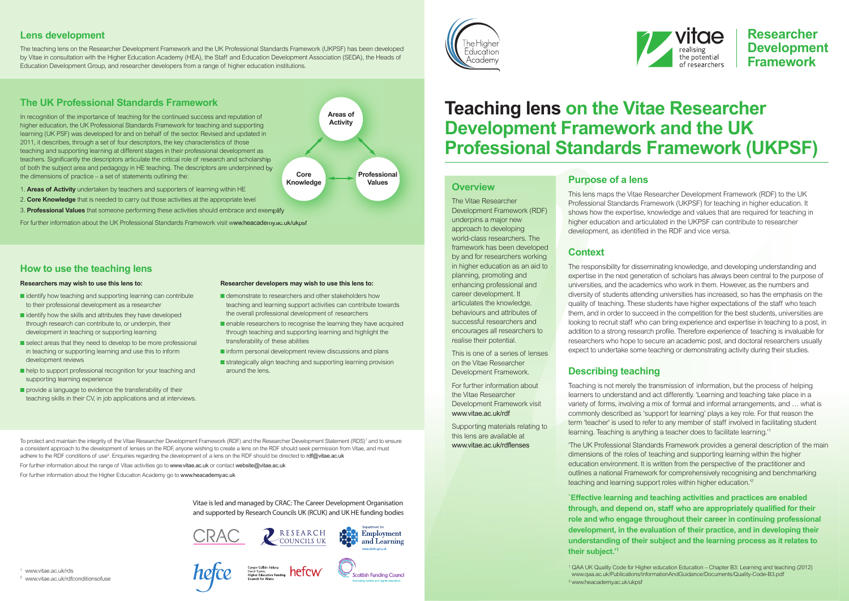# **Teaching lens on the Vitae Researcher Development Framework and the UK Professional Standards Framework (UKPSF)**



### **Overview**

Supporting materials relating to this lens are available at [www.vitae.ac.uk/rdflenses](http://www.vitae.ac.uk/rdflenses)

The Vitae Researcher Development Framework (RDF) underpins a major new approach to developing world-class researchers. The framework has been developed by and for researchers working in higher education as an aid to planning, promoting and enhancing professional and career development. It articulates the knowledge, behaviours and attributes of successful researchers and encourages all researchers to realise their potential.

This is one of a series of lenses on the Vitae Researcher Development Framework.

For further information about the Vitae Researcher Development Framework visit [www.vitae.ac.uk/rdf](http://www.vitae.ac.uk/rdf)

## **Purpose of a lens**

This lens maps the Vitae Researcher Development Framework (RDF) to the UK Professional Standards Framework (UKPSF) for teaching in higher education. It shows how the expertise, knowledge and values that are required for teaching in higher education and articulated in the UKPSF can contribute to researcher development, as identified in the RDF and vice versa.

# **Context**

To protect and maintain the integrity of the Vitae Researcher Development Framework (RDF) and the Researcher Development Statement (RDS) <sup>1</sup> and to ensure a consistent approach to the development of lenses on the RDF, anyone wishing to create a lens on the RDF should seek permission from Vitae, and must adhere to the RDF conditions of use<sup>2</sup>. Enquiries regarding the development of a lens on the RDF should be directed to **[rdf@vitae.ac.uk](mailto:rdf@vitae.ac.uk)** 

The responsibility for disseminating knowledge, and developing understanding and expertise in the next generation of scholars has always been central to the purpose of universities, and the academics who work in them. However, as the numbers and diversity of students attending universities has increased, so has the emphasis on the quality of teaching. These students have higher expectations of the staff who teach them, and in order to succeed in the competition for the best students, universities are looking to recruit staff who can bring experience and expertise in teaching to a post, in addition to a strong research profile. Therefore experience of teaching is invaluable for researchers who hope to secure an academic post, and doctoral researchers usually expect to undertake some teaching or demonstrating activity during their studies.

## **Describing teaching**

Teaching is not merely the transmission of information, but the process of helping learners to understand and act differently. 'Learning and teaching take place in a variety of forms, involving a mix of formal and informal arrangements, and … what is commonly described as 'support for learning' plays a key role. For that reason the term 'teacher' is used to refer to any member of staff involved in facilitating student learning. Teaching is anything a teacher does to facilitate learning.' 1

'The UK Professional Standards Framework provides a general description of the main dimensions of the roles of teaching and supporting learning within the higher education environment. It is written from the perspective of the practitioner and outlines a national Framework for comprehensively recognising and benchmarking teaching and learning support roles within higher education.' 2

- identify how teaching and supporting learning can contribute to their professional development as a researcher
- identify how the skills and attributes they have developed through research can contribute to, or underpin, their development in teaching or supporting learning
- select areas that they need to develop to be more professional in teaching or supporting learning and use this to inform development reviews
- help to support professional recognition for your teaching and supporting learning experience
- provide a language to evidence the transferability of their teaching skills in their CV, in job applications and at interviews.

**`Effective learning and teaching activities and practices are enabled through, and depend on, staff who are appropriately qualified for their role and who engage throughout their career in continuing professional development, in the evaluation of their practice, and in developing their understanding of their subject and the learning process as it relates to their subject.' 1**

- demonstrate to researchers and other stakeholders how teaching and learning support activities can contribute towards the overall professional development of researchers
- enable researchers to recognise the learning they have acquired through teaching and supporting learning and highlight the transferability of these abilities
- inform personal development review discussions and plans
- strategically align teaching and supporting learning provision around the lens.

Vitae is led and managed by CRAC: The Career Development Organisation and supported by Research Councils UK (RCUK) and UK HE funding bodies





Cyngor Cyllido Addysg<br>Uwch Cymru<br>Higher Education Funding **hefcW** 



For further information about the range of Vitae activities go to [www.vitae.ac.uk](http://www.vitae.ac.uk) or contact [website@vitae.ac.uk](mailto:website@vitae.ac.uk)

For further information about the Higher Education Academy go to [www.heacademy.ac.uk](http://www.heacademy.ac.uk)

### **Lens development**

The teaching lens on the Researcher Development Framework and the UK Professional Standards Framework (UKPSF) has been developed by Vitae in consultation with the Higher Education Academy (HEA), the Staff and Education Development Association (SEDA), the Heads of Education Development Group, and researcher developers from a range of higher education institutions.

# **The UK Professional Standards Framework**

In recognition of the importance of teaching for the continued success and reputation of higher education, the UK Professional Standards Framework for teaching and supporting learning (UK PSF) was developed for and on behalf of the sector. Revised and updated in 2011, it describes, through a set of four descriptors, the key characteristics of those teaching and supporting learning at different stages in their professional development as teachers. Significantly the descriptors articulate the critical role of research and scholarship of both the subject area and pedagogy in HE teaching. The descriptors are underpinned by the dimensions of practice – a set of statements outlining the:

- 1. **Areas of Activity** undertaken by teachers and supporters of learning within HE
- 2. **Core Knowledge** that is needed to carry out those activities at the appropriate level
- 3. **Professional Values** that someone performing these activities should embrace and exemplify

For further information about the UK Professional Standards Framework visit w[ww.heacademy.ac.uk/ukpsf](http://www.heacademy.ac.uk/ukpsf)

### **Researchers may wish to use this lens to:**

### **Researcher developers may wish to use this lens to:**

**Professional Values**

**Core Knowledge** **Areas of Activity**







### **How to use the teaching lens**

<sup>2</sup> [www.heacademy.ac.uk/ukpsf](http://www.heacademy.ac.uk/ukpsf)